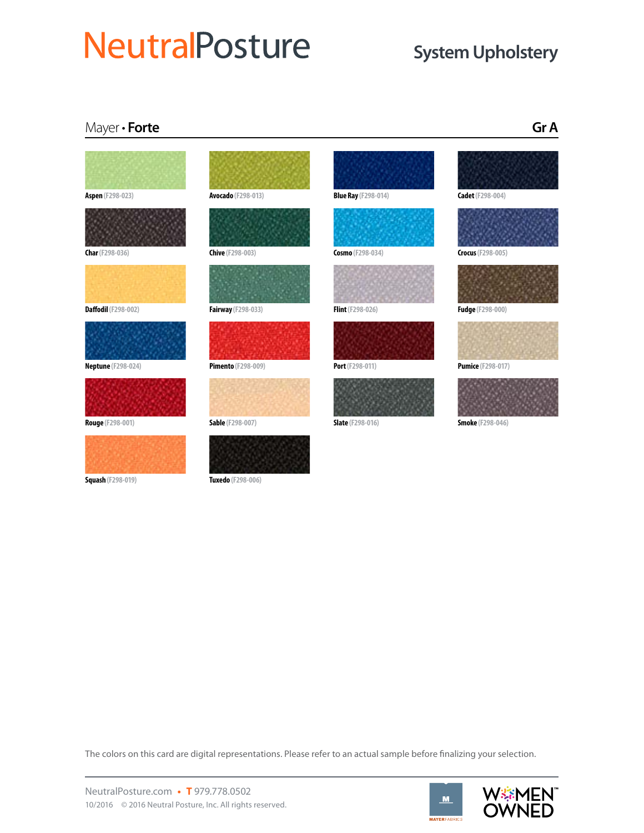## **NeutralPosture**

### **System Upholstery**

### Mayer • **Forte Gr A**



**Char (F298-036)**



**Daffodil (F298-002)**



**Neptune (F298-024)**





**Squash (F298-019)**



**Avocado (F298-013)**

**Chive (F298-003)**

**Fairway (F298-033)**



**Pimento (F298-009)**



**Sable (F298-007)**



**Tuxedo (F298-006)**





**Cosmo (F298-034)**

**Flint (F298-026)**









**Crocus (F298-005)**



**Fudge (F298-000)**



**Pumice (F298-017)**



The colors on this card are digital representations. Please refer to an actual sample before finalizing your selection.